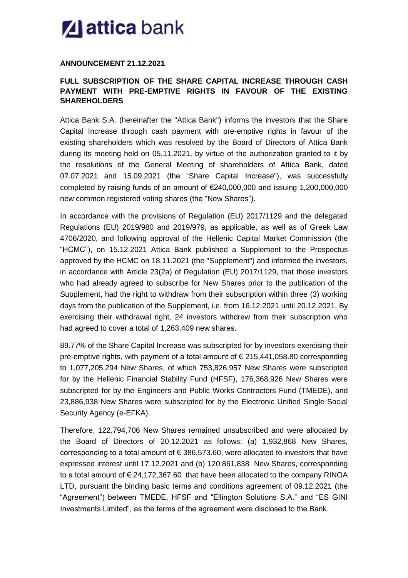## **Z** attica bank

## **ANNOUNCEMENT 21.12.2021**

## **FULL SUBSCRIPTION OF THE SHARE CAPITAL INCREASE THROUGH CASH PAYMENT WITH PRE-EMPTIVE RIGHTS IN FAVOUR OF THE EXISTING SHAREHOLDERS**

Attica Bank S.A. (hereinafter the "Attica Bank") informs the investors that the Share Capital Increase through cash payment with pre-emptive rights in favour of the existing shareholders which was resolved by the Board of Directors of Attica Bank during its meeting held on 05.11.2021, by virtue of the authorization granted to it by the resolutions of the General Meeting of shareholders of Attica Bank, dated 07.07.2021 and 15.09.2021 (the "Share Capital Increase"), was successfully completed by raising funds of an amount of €240,000,000 and issuing 1,200,000,000 new common registered voting shares (the "New Shares").

In accordance with the provisions of Regulation (EU) 2017/1129 and the delegated Regulations (EU) 2019/980 and 2019/979, as applicable, as well as of Greek Law 4706/2020, and following approval of the Hellenic Capital Market Commission (the "HCMC"), on 15.12.2021 Attica Bank published a Supplement to the Prospectus approved by the HCMC on 18.11.2021 (the "Supplement") and informed the investors, in accordance with Article 23(2a) of Regulation (EU) 2017/1129, that those investors who had already agreed to subscribe for New Shares prior to the publication of the Supplement, had the right to withdraw from their subscription within three (3) working days from the publication of the Supplement, i.e. from 16.12.2021 until 20.12.2021. By exercising their withdrawal right, 24 investors withdrew from their subscription who had agreed to cover a total of 1,263,409 new shares.

89.77% of the Share Capital Increase was subscripted for by investors exercising their pre-emptive rights, with payment of a total amount of € 215,441,058.80 corresponding to 1,077,205,294 New Shares, of which 753,826,957 New Shares were subscripted for by the Hellenic Financial Stability Fund (HFSF), 176,368,926 New Shares were subscripted for by the Engineers and Public Works Contractors Fund (TMEDE), and 23,886,938 New Shares were subscripted for by the Electronic Unified Single Social Security Agency (e-EFKA).

Therefore, 122,794,706 New Shares remained unsubscribed and were allocated by the Board of Directors of 20.12.2021 as follows: (a) 1,932,868 New Shares, corresponding to a total amount of  $\epsilon$  386,573.60, were allocated to investors that have expressed interest until 17.12.2021 and (b) 120,861,838 New Shares, corresponding to a total amount of  $\epsilon$  24,172,367.60 that have been allocated to the company RINOA LTD, pursuant the binding basic terms and conditions agreement of 09.12.2021 (the "Agreement") between TMEDE, HFSF and "Ellington Solutions S.A." and "ES GINI Investments Limited", as the terms of the agreement were disclosed to the Bank.